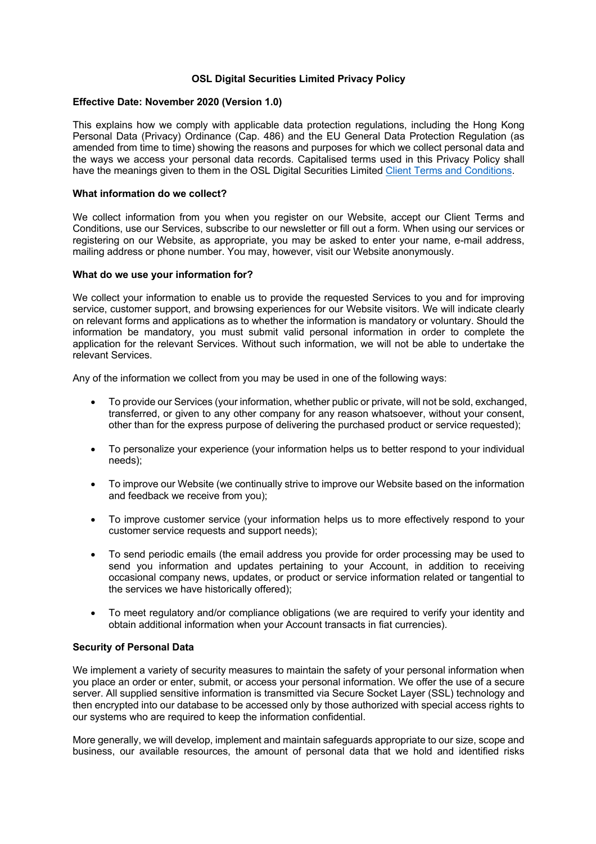## **OSL Digital Securities Limited Privacy Policy**

### **Effective Date: November 2020 (Version 1.0)**

This explains how we comply with applicable data protection regulations, including the Hong Kong Personal Data (Privacy) Ordinance (Cap. 486) and the EU General Data Protection Regulation (as amended from time to time) showing the reasons and purposes for which we collect personal data and the ways we access your personal data records. Capitalised terms used in this Privacy Policy shall have the meanings given to them in the OSL Digital Securities Limited Client Terms and Conditions.

### **What information do we collect?**

We collect information from you when you register on our Website, accept our Client Terms and Conditions, use our Services, subscribe to our newsletter or fill out a form. When using our services or registering on our Website, as appropriate, you may be asked to enter your name, e-mail address, mailing address or phone number. You may, however, visit our Website anonymously.

### **What do we use your information for?**

We collect your information to enable us to provide the requested Services to you and for improving service, customer support, and browsing experiences for our Website visitors. We will indicate clearly on relevant forms and applications as to whether the information is mandatory or voluntary. Should the information be mandatory, you must submit valid personal information in order to complete the application for the relevant Services. Without such information, we will not be able to undertake the relevant Services.

Any of the information we collect from you may be used in one of the following ways:

- To provide our Services (your information, whether public or private, will not be sold, exchanged, transferred, or given to any other company for any reason whatsoever, without your consent, other than for the express purpose of delivering the purchased product or service requested);
- To personalize your experience (your information helps us to better respond to your individual needs);
- To improve our Website (we continually strive to improve our Website based on the information and feedback we receive from you);
- To improve customer service (your information helps us to more effectively respond to your customer service requests and support needs);
- To send periodic emails (the email address you provide for order processing may be used to send you information and updates pertaining to your Account, in addition to receiving occasional company news, updates, or product or service information related or tangential to the services we have historically offered);
- To meet regulatory and/or compliance obligations (we are required to verify your identity and obtain additional information when your Account transacts in fiat currencies).

### **Security of Personal Data**

We implement a variety of security measures to maintain the safety of your personal information when you place an order or enter, submit, or access your personal information. We offer the use of a secure server. All supplied sensitive information is transmitted via Secure Socket Layer (SSL) technology and then encrypted into our database to be accessed only by those authorized with special access rights to our systems who are required to keep the information confidential.

More generally, we will develop, implement and maintain safeguards appropriate to our size, scope and business, our available resources, the amount of personal data that we hold and identified risks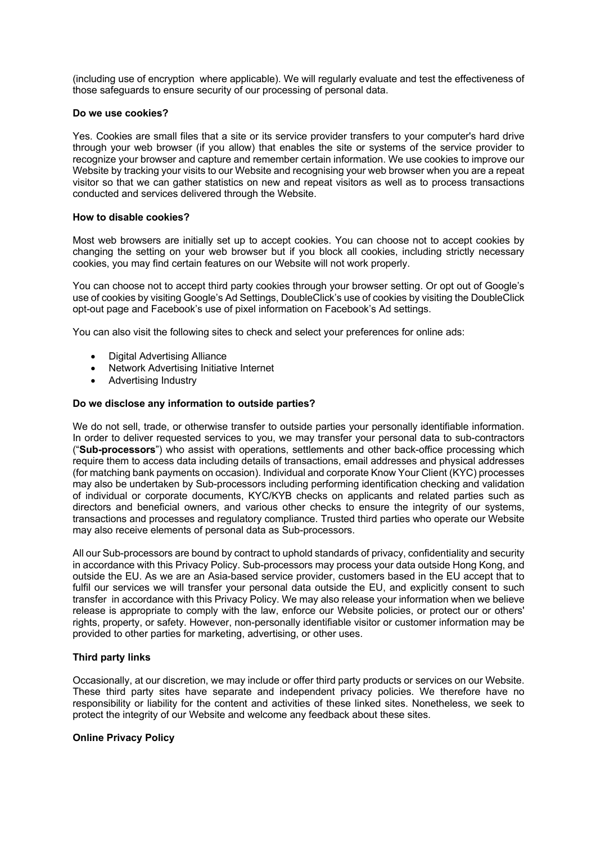(including use of encryption where applicable). We will regularly evaluate and test the effectiveness of those safeguards to ensure security of our processing of personal data.

### **Do we use cookies?**

Yes. Cookies are small files that a site or its service provider transfers to your computer's hard drive through your web browser (if you allow) that enables the site or systems of the service provider to recognize your browser and capture and remember certain information. We use cookies to improve our Website by tracking your visits to our Website and recognising your web browser when you are a repeat visitor so that we can gather statistics on new and repeat visitors as well as to process transactions conducted and services delivered through the Website.

### **How to disable cookies?**

Most web browsers are initially set up to accept cookies. You can choose not to accept cookies by changing the setting on your web browser but if you block all cookies, including strictly necessary cookies, you may find certain features on our Website will not work properly.

You can choose not to accept third party cookies through your browser setting. Or opt out of Google's use of cookies by visiting Google's Ad Settings, DoubleClick's use of cookies by visiting the DoubleClick opt-out page and Facebook's use of pixel information on Facebook's Ad settings.

You can also visit the following sites to check and select your preferences for online ads:

- Digital Advertising Alliance
- Network Advertising Initiative Internet
- Advertising Industry

## **Do we disclose any information to outside parties?**

We do not sell, trade, or otherwise transfer to outside parties your personally identifiable information. In order to deliver requested services to you, we may transfer your personal data to sub-contractors ("**Sub-processors**") who assist with operations, settlements and other back-office processing which require them to access data including details of transactions, email addresses and physical addresses (for matching bank payments on occasion). Individual and corporate Know Your Client (KYC) processes may also be undertaken by Sub-processors including performing identification checking and validation of individual or corporate documents, KYC/KYB checks on applicants and related parties such as directors and beneficial owners, and various other checks to ensure the integrity of our systems, transactions and processes and regulatory compliance. Trusted third parties who operate our Website may also receive elements of personal data as Sub-processors.

All our Sub-processors are bound by contract to uphold standards of privacy, confidentiality and security in accordance with this Privacy Policy. Sub-processors may process your data outside Hong Kong, and outside the EU. As we are an Asia-based service provider, customers based in the EU accept that to fulfil our services we will transfer your personal data outside the EU, and explicitly consent to such transfer in accordance with this Privacy Policy. We may also release your information when we believe release is appropriate to comply with the law, enforce our Website policies, or protect our or others' rights, property, or safety. However, non-personally identifiable visitor or customer information may be provided to other parties for marketing, advertising, or other uses.

# **Third party links**

Occasionally, at our discretion, we may include or offer third party products or services on our Website. These third party sites have separate and independent privacy policies. We therefore have no responsibility or liability for the content and activities of these linked sites. Nonetheless, we seek to protect the integrity of our Website and welcome any feedback about these sites.

### **Online Privacy Policy**